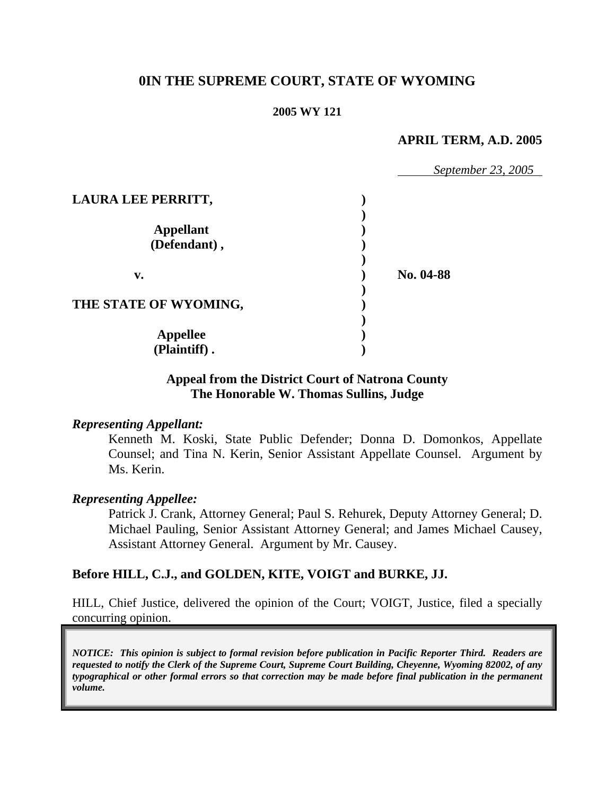## **0IN THE SUPREME COURT, STATE OF WYOMING**

#### **2005 WY 121**

#### **APRIL TERM, A.D. 2005**

|                           | September 23, 2005 |
|---------------------------|--------------------|
| <b>LAURA LEE PERRITT,</b> |                    |
|                           |                    |
| <b>Appellant</b>          |                    |
| (Defendant),              |                    |
|                           |                    |
| v.                        | No. 04-88          |
|                           |                    |
| THE STATE OF WYOMING,     |                    |
|                           |                    |
| <b>Appellee</b>           |                    |
| (Plaintiff).              |                    |

#### **Appeal from the District Court of Natrona County The Honorable W. Thomas Sullins, Judge**

#### *Representing Appellant:*

Kenneth M. Koski, State Public Defender; Donna D. Domonkos, Appellate Counsel; and Tina N. Kerin, Senior Assistant Appellate Counsel. Argument by Ms. Kerin.

#### *Representing Appellee:*

Patrick J. Crank, Attorney General; Paul S. Rehurek, Deputy Attorney General; D. Michael Pauling, Senior Assistant Attorney General; and James Michael Causey, Assistant Attorney General. Argument by Mr. Causey.

#### **Before HILL, C.J., and GOLDEN, KITE, VOIGT and BURKE, JJ.**

HILL, Chief Justice, delivered the opinion of the Court; VOIGT, Justice, filed a specially concurring opinion.

*NOTICE: This opinion is subject to formal revision before publication in Pacific Reporter Third. Readers are requested to notify the Clerk of the Supreme Court, Supreme Court Building, Cheyenne, Wyoming 82002, of any typographical or other formal errors so that correction may be made before final publication in the permanent volume.*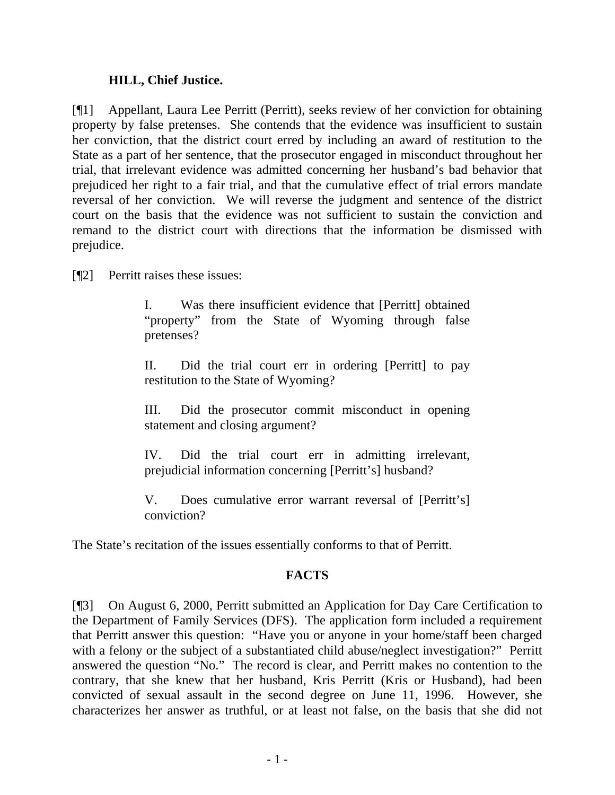### **HILL, Chief Justice.**

[¶1] Appellant, Laura Lee Perritt (Perritt), seeks review of her conviction for obtaining property by false pretenses. She contends that the evidence was insufficient to sustain her conviction, that the district court erred by including an award of restitution to the State as a part of her sentence, that the prosecutor engaged in misconduct throughout her trial, that irrelevant evidence was admitted concerning her husband's bad behavior that prejudiced her right to a fair trial, and that the cumulative effect of trial errors mandate reversal of her conviction. We will reverse the judgment and sentence of the district court on the basis that the evidence was not sufficient to sustain the conviction and remand to the district court with directions that the information be dismissed with prejudice.

[¶2] Perritt raises these issues:

I. Was there insufficient evidence that [Perritt] obtained "property" from the State of Wyoming through false pretenses?

II. Did the trial court err in ordering [Perritt] to pay restitution to the State of Wyoming?

III. Did the prosecutor commit misconduct in opening statement and closing argument?

IV. Did the trial court err in admitting irrelevant, prejudicial information concerning [Perritt's] husband?

V. Does cumulative error warrant reversal of [Perritt's] conviction?

The State's recitation of the issues essentially conforms to that of Perritt.

## **FACTS**

[¶3] On August 6, 2000, Perritt submitted an Application for Day Care Certification to the Department of Family Services (DFS). The application form included a requirement that Perritt answer this question: "Have you or anyone in your home/staff been charged with a felony or the subject of a substantiated child abuse/neglect investigation?" Perritt answered the question "No." The record is clear, and Perritt makes no contention to the contrary, that she knew that her husband, Kris Perritt (Kris or Husband), had been convicted of sexual assault in the second degree on June 11, 1996. However, she characterizes her answer as truthful, or at least not false, on the basis that she did not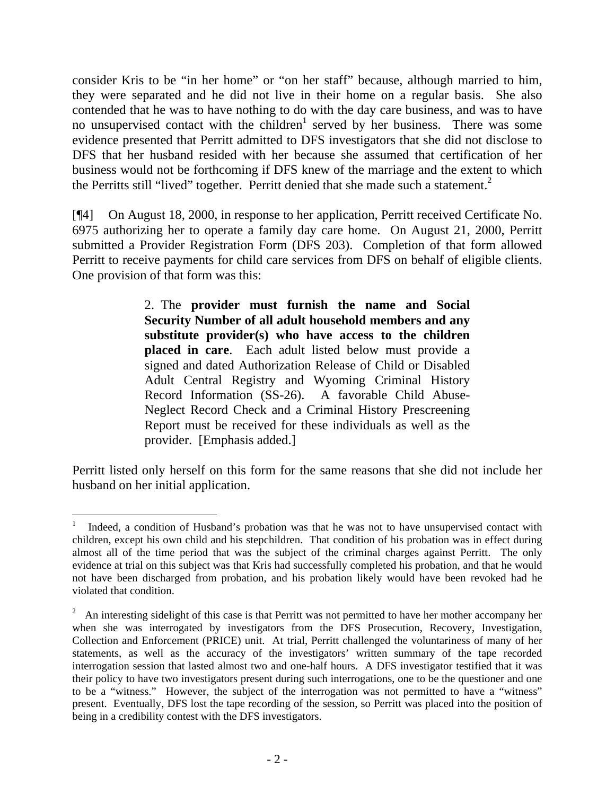consider Kris to be "in her home" or "on her staff" because, although married to him, they were separated and he did not live in their home on a regular basis. She also contended that he was to have nothing to do with the day care business, and was to have no unsupervised contact with the children<sup>[1](#page-3-0)</sup> served by her business. There was some evidence presented that Perritt admitted to DFS investigators that she did not disclose to DFS that her husband resided with her because she assumed that certification of her business would not be forthcoming if DFS knew of the marriage and the extent to which the Perritts still "lived" together. Perritt denied that she made such a statement.<sup>2</sup>

[¶4] On August 18, 2000, in response to her application, Perritt received Certificate No. 6975 authorizing her to operate a family day care home. On August 21, 2000, Perritt submitted a Provider Registration Form (DFS 203). Completion of that form allowed Perritt to receive payments for child care services from DFS on behalf of eligible clients. One provision of that form was this:

> 2. The **provider must furnish the name and Social Security Number of all adult household members and any substitute provider(s) who have access to the children placed in care**. Each adult listed below must provide a signed and dated Authorization Release of Child or Disabled Adult Central Registry and Wyoming Criminal History Record Information (SS-26). A favorable Child Abuse-Neglect Record Check and a Criminal History Prescreening Report must be received for these individuals as well as the provider. [Emphasis added.]

Perritt listed only herself on this form for the same reasons that she did not include her husband on her initial application.

<span id="page-3-0"></span> 1 Indeed, a condition of Husband's probation was that he was not to have unsupervised contact with children, except his own child and his stepchildren. That condition of his probation was in effect during almost all of the time period that was the subject of the criminal charges against Perritt. The only evidence at trial on this subject was that Kris had successfully completed his probation, and that he would not have been discharged from probation, and his probation likely would have been revoked had he violated that condition.

<span id="page-3-1"></span> $2$  An interesting sidelight of this case is that Perritt was not permitted to have her mother accompany her when she was interrogated by investigators from the DFS Prosecution, Recovery, Investigation, Collection and Enforcement (PRICE) unit. At trial, Perritt challenged the voluntariness of many of her statements, as well as the accuracy of the investigators' written summary of the tape recorded interrogation session that lasted almost two and one-half hours. A DFS investigator testified that it was their policy to have two investigators present during such interrogations, one to be the questioner and one to be a "witness." However, the subject of the interrogation was not permitted to have a "witness" present. Eventually, DFS lost the tape recording of the session, so Perritt was placed into the position of being in a credibility contest with the DFS investigators.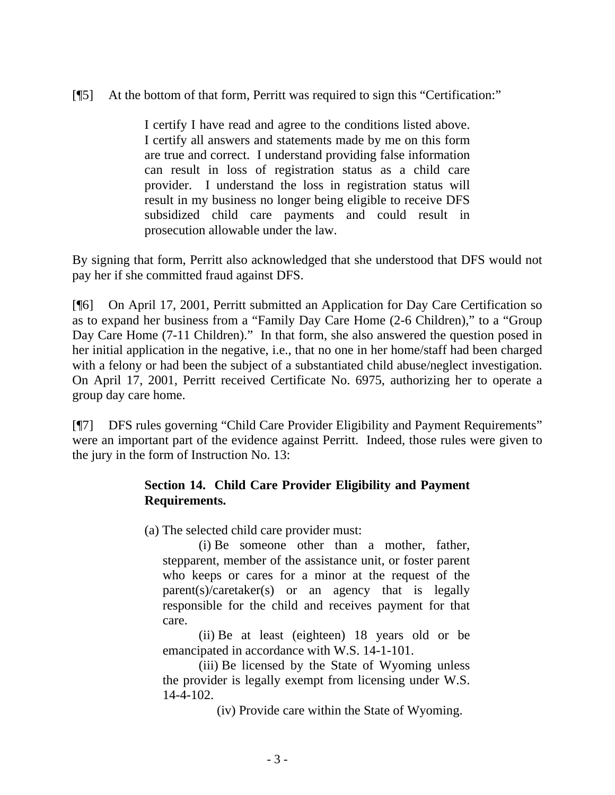## [¶5] At the bottom of that form, Perritt was required to sign this "Certification:"

I certify I have read and agree to the conditions listed above. I certify all answers and statements made by me on this form are true and correct. I understand providing false information can result in loss of registration status as a child care provider. I understand the loss in registration status will result in my business no longer being eligible to receive DFS subsidized child care payments and could result in prosecution allowable under the law.

By signing that form, Perritt also acknowledged that she understood that DFS would not pay her if she committed fraud against DFS.

[¶6] On April 17, 2001, Perritt submitted an Application for Day Care Certification so as to expand her business from a "Family Day Care Home (2-6 Children)," to a "Group Day Care Home (7-11 Children)." In that form, she also answered the question posed in her initial application in the negative, i.e., that no one in her home/staff had been charged with a felony or had been the subject of a substantiated child abuse/neglect investigation. On April 17, 2001, Perritt received Certificate No. 6975, authorizing her to operate a group day care home.

[¶7] DFS rules governing "Child Care Provider Eligibility and Payment Requirements" were an important part of the evidence against Perritt. Indeed, those rules were given to the jury in the form of Instruction No. 13:

### **Section 14. Child Care Provider Eligibility and Payment Requirements.**

(a) The selected child care provider must:

(i) Be someone other than a mother, father, stepparent, member of the assistance unit, or foster parent who keeps or cares for a minor at the request of the parent(s)/caretaker(s) or an agency that is legally responsible for the child and receives payment for that care.

(ii) Be at least (eighteen) 18 years old or be emancipated in accordance with W.S. 14-1-101.

(iii) Be licensed by the State of Wyoming unless the provider is legally exempt from licensing under W.S. 14-4-102.

(iv) Provide care within the State of Wyoming.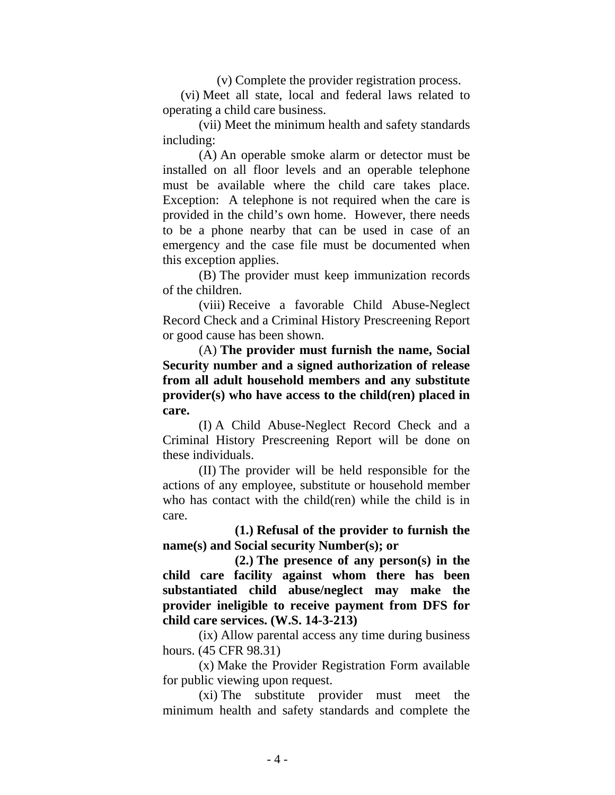(v) Complete the provider registration process.

(vi) Meet all state, local and federal laws related to operating a child care business.

(vii) Meet the minimum health and safety standards including:

(A) An operable smoke alarm or detector must be installed on all floor levels and an operable telephone must be available where the child care takes place. Exception: A telephone is not required when the care is provided in the child's own home. However, there needs to be a phone nearby that can be used in case of an emergency and the case file must be documented when this exception applies.

(B) The provider must keep immunization records of the children.

(viii) Receive a favorable Child Abuse-Neglect Record Check and a Criminal History Prescreening Report or good cause has been shown.

(A) **The provider must furnish the name, Social Security number and a signed authorization of release from all adult household members and any substitute provider(s) who have access to the child(ren) placed in care.**

(I) A Child Abuse-Neglect Record Check and a Criminal History Prescreening Report will be done on these individuals.

(II) The provider will be held responsible for the actions of any employee, substitute or household member who has contact with the child(ren) while the child is in care.

**(1.) Refusal of the provider to furnish the name(s) and Social security Number(s); or** 

**(2.) The presence of any person(s) in the child care facility against whom there has been substantiated child abuse/neglect may make the provider ineligible to receive payment from DFS for child care services. (W.S. 14-3-213)**

(ix) Allow parental access any time during business hours. (45 CFR 98.31)

(x) Make the Provider Registration Form available for public viewing upon request.

(xi) The substitute provider must meet the minimum health and safety standards and complete the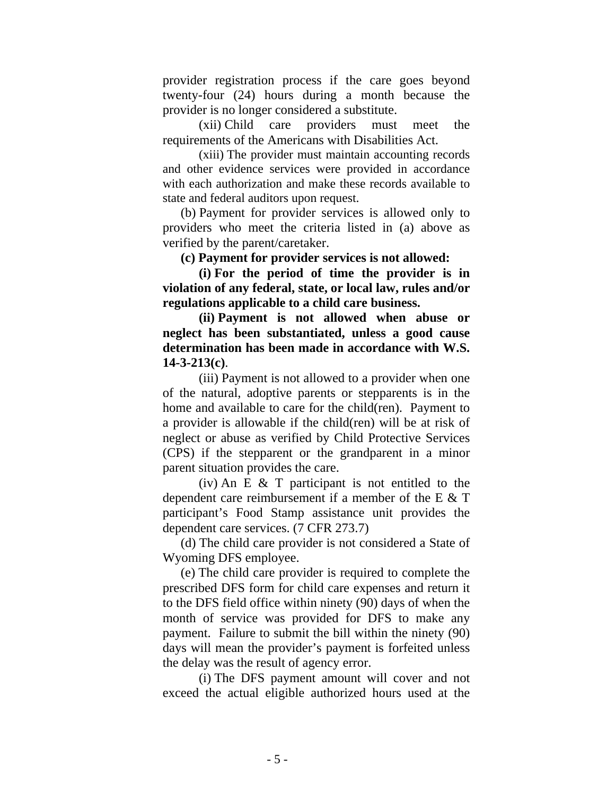provider registration process if the care goes beyond twenty-four (24) hours during a month because the provider is no longer considered a substitute.

(xii) Child care providers must meet the requirements of the Americans with Disabilities Act.

(xiii) The provider must maintain accounting records and other evidence services were provided in accordance with each authorization and make these records available to state and federal auditors upon request.

(b) Payment for provider services is allowed only to providers who meet the criteria listed in (a) above as verified by the parent/caretaker.

**(c) Payment for provider services is not allowed:** 

**(i) For the period of time the provider is in violation of any federal, state, or local law, rules and/or regulations applicable to a child care business.** 

**(ii) Payment is not allowed when abuse or neglect has been substantiated, unless a good cause determination has been made in accordance with W.S. 14-3-213(c)**.

(iii) Payment is not allowed to a provider when one of the natural, adoptive parents or stepparents is in the home and available to care for the child(ren). Payment to a provider is allowable if the child(ren) will be at risk of neglect or abuse as verified by Child Protective Services (CPS) if the stepparent or the grandparent in a minor parent situation provides the care.

 $(iv)$  An E & T participant is not entitled to the dependent care reimbursement if a member of the E & T participant's Food Stamp assistance unit provides the dependent care services. (7 CFR 273.7)

(d) The child care provider is not considered a State of Wyoming DFS employee.

(e) The child care provider is required to complete the prescribed DFS form for child care expenses and return it to the DFS field office within ninety (90) days of when the month of service was provided for DFS to make any payment. Failure to submit the bill within the ninety (90) days will mean the provider's payment is forfeited unless the delay was the result of agency error.

(i) The DFS payment amount will cover and not exceed the actual eligible authorized hours used at the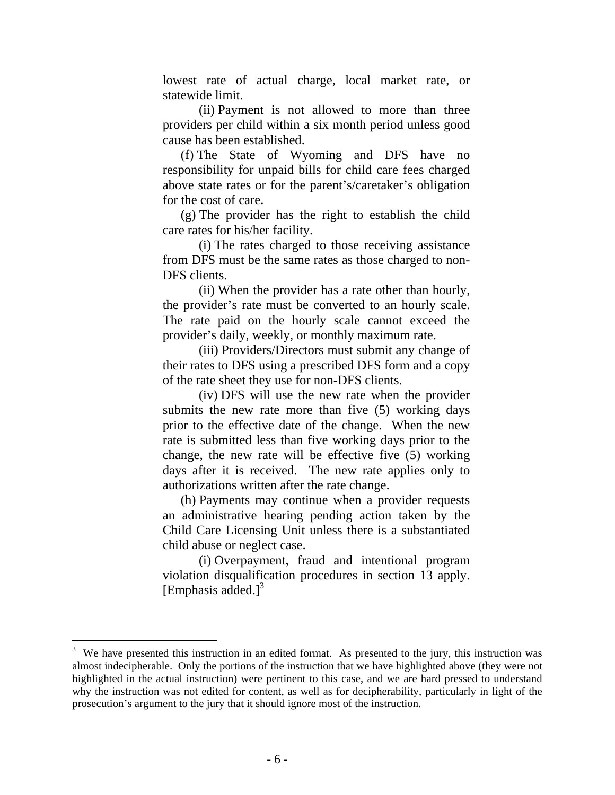lowest rate of actual charge, local market rate, or statewide limit.

(ii) Payment is not allowed to more than three providers per child within a six month period unless good cause has been established.

(f) The State of Wyoming and DFS have no responsibility for unpaid bills for child care fees charged above state rates or for the parent's/caretaker's obligation for the cost of care.

(g) The provider has the right to establish the child care rates for his/her facility.

(i) The rates charged to those receiving assistance from DFS must be the same rates as those charged to non-DFS clients.

(ii) When the provider has a rate other than hourly, the provider's rate must be converted to an hourly scale. The rate paid on the hourly scale cannot exceed the provider's daily, weekly, or monthly maximum rate.

(iii) Providers/Directors must submit any change of their rates to DFS using a prescribed DFS form and a copy of the rate sheet they use for non-DFS clients.

(iv) DFS will use the new rate when the provider submits the new rate more than five (5) working days prior to the effective date of the change. When the new rate is submitted less than five working days prior to the change, the new rate will be effective five (5) working days after it is received. The new rate applies only to authorizations written after the rate change.

(h) Payments may continue when a provider requests an administrative hearing pending action taken by the Child Care Licensing Unit unless there is a substantiated child abuse or neglect case.

(i) Overpayment, fraud and intentional program violation disqualification procedures in section 13 apply. [Emphasis added.] $3$ 

<span id="page-7-0"></span> $3$  We have presented this instruction in an edited format. As presented to the jury, this instruction was almost indecipherable. Only the portions of the instruction that we have highlighted above (they were not highlighted in the actual instruction) were pertinent to this case, and we are hard pressed to understand why the instruction was not edited for content, as well as for decipherability, particularly in light of the prosecution's argument to the jury that it should ignore most of the instruction.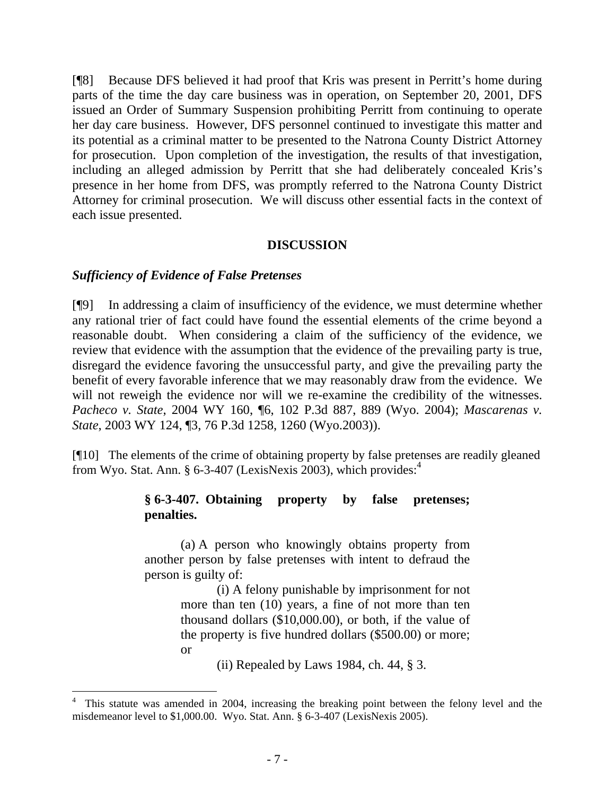[¶8] Because DFS believed it had proof that Kris was present in Perritt's home during parts of the time the day care business was in operation, on September 20, 2001, DFS issued an Order of Summary Suspension prohibiting Perritt from continuing to operate her day care business. However, DFS personnel continued to investigate this matter and its potential as a criminal matter to be presented to the Natrona County District Attorney for prosecution. Upon completion of the investigation, the results of that investigation, including an alleged admission by Perritt that she had deliberately concealed Kris's presence in her home from DFS, was promptly referred to the Natrona County District Attorney for criminal prosecution. We will discuss other essential facts in the context of each issue presented.

### **DISCUSSION**

#### *Sufficiency of Evidence of False Pretenses*

[¶9] In addressing a claim of insufficiency of the evidence, we must determine whether any rational trier of fact could have found the essential elements of the crime beyond a reasonable doubt. When considering a claim of the sufficiency of the evidence, we review that evidence with the assumption that the evidence of the prevailing party is true, disregard the evidence favoring the unsuccessful party, and give the prevailing party the benefit of every favorable inference that we may reasonably draw from the evidence. We will not reweigh the evidence nor will we re-examine the credibility of the witnesses. *Pacheco v. State*, 2004 WY 160, ¶6, 102 P.3d 887, 889 (Wyo. 2004); *Mascarenas v. State*, 2003 WY 124, ¶3, 76 P.3d 1258, 1260 (Wyo.2003)).

[¶10] The elements of the crime of obtaining property by false pretenses are readily gleaned from Wyo. Stat. Ann.  $\S 6-3-407$  $\S 6-3-407$  $\S 6-3-407$  (LexisNexis 2003), which provides:<sup>4</sup>

### **§ 6-3-407. Obtaining property by false pretenses; penalties.**

(a) A person who knowingly obtains property from another person by false pretenses with intent to defraud the person is guilty of:

> (i) A felony punishable by imprisonment for not more than ten (10) years, a fine of not more than ten thousand dollars (\$10,000.00), or both, if the value of the property is five hundred dollars (\$500.00) or more; or

> > (ii) Repealed by Laws 1984, ch. 44, § 3.

<span id="page-8-0"></span><sup>4</sup> This statute was amended in 2004, increasing the breaking point between the felony level and the misdemeanor level to \$1,000.00. Wyo. Stat. Ann. § 6-3-407 (LexisNexis 2005).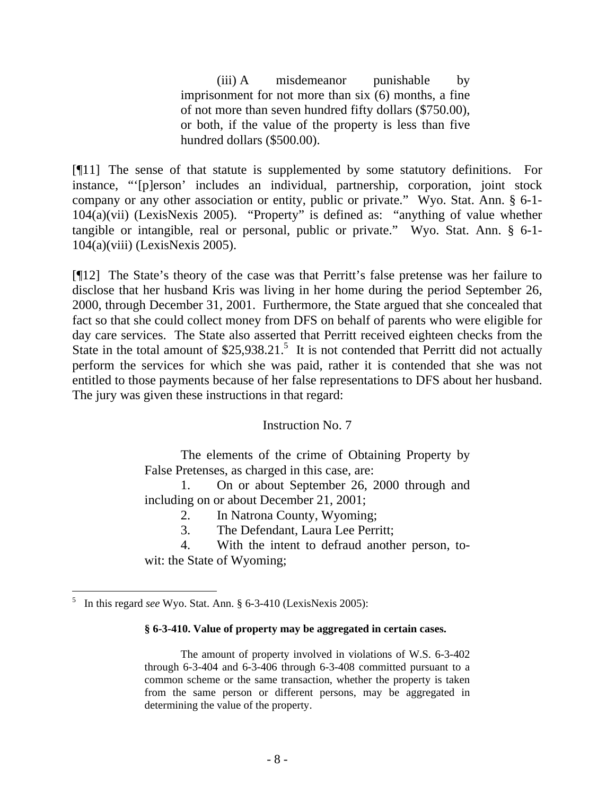(iii) A misdemeanor punishable by imprisonment for not more than six (6) months, a fine of not more than seven hundred fifty dollars (\$750.00), or both, if the value of the property is less than five hundred dollars (\$500.00).

[¶11] The sense of that statute is supplemented by some statutory definitions. For instance, "'[p]erson' includes an individual, partnership, corporation, joint stock company or any other association or entity, public or private." Wyo. Stat. Ann. § 6-1- 104(a)(vii) (LexisNexis 2005). "Property" is defined as: "anything of value whether tangible or intangible, real or personal, public or private." Wyo. Stat. Ann. § 6-1- 104(a)(viii) (LexisNexis 2005).

[¶12] The State's theory of the case was that Perritt's false pretense was her failure to disclose that her husband Kris was living in her home during the period September 26, 2000, through December 31, 2001. Furthermore, the State argued that she concealed that fact so that she could collect money from DFS on behalf of parents who were eligible for day care services. The State also asserted that Perritt received eighteen checks from the State in the total amount of  $$25,938.21$  $$25,938.21$  $$25,938.21$ <sup>5</sup> It is not contended that Perritt did not actually perform the services for which she was paid, rather it is contended that she was not entitled to those payments because of her false representations to DFS about her husband. The jury was given these instructions in that regard:

#### Instruction No. 7

The elements of the crime of Obtaining Property by False Pretenses, as charged in this case, are:

1. On or about September 26, 2000 through and including on or about December 21, 2001;

2. In Natrona County, Wyoming;

3. The Defendant, Laura Lee Perritt;

4. With the intent to defraud another person, towit: the State of Wyoming;

#### **§ 6-3-410. Value of property may be aggregated in certain cases.**

The amount of property involved in violations of W.S. 6-3-402 through 6-3-404 and 6-3-406 through 6-3-408 committed pursuant to a common scheme or the same transaction, whether the property is taken from the same person or different persons, may be aggregated in determining the value of the property.

<span id="page-9-0"></span><sup>5</sup> In this regard *see* Wyo. Stat. Ann. § 6-3-410 (LexisNexis 2005):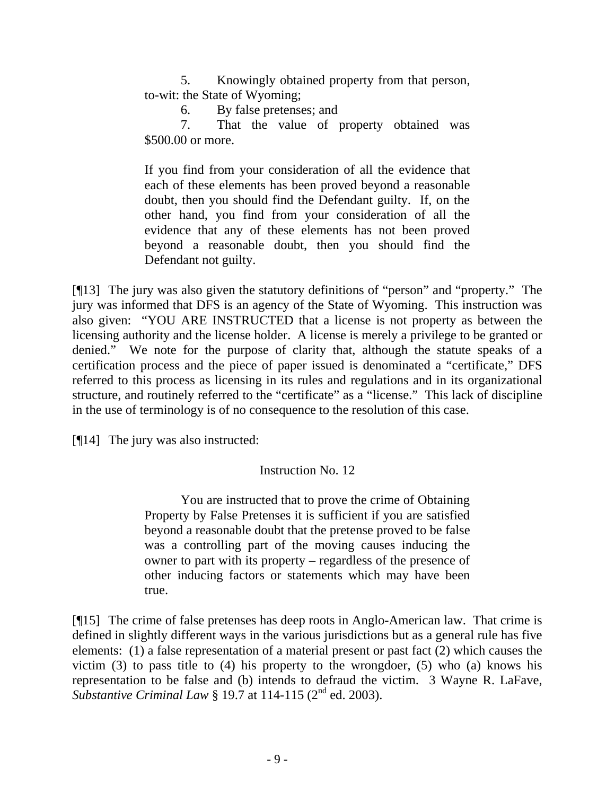5. Knowingly obtained property from that person, to-wit: the State of Wyoming;

6. By false pretenses; and

7. That the value of property obtained was \$500.00 or more.

If you find from your consideration of all the evidence that each of these elements has been proved beyond a reasonable doubt, then you should find the Defendant guilty. If, on the other hand, you find from your consideration of all the evidence that any of these elements has not been proved beyond a reasonable doubt, then you should find the Defendant not guilty.

[¶13] The jury was also given the statutory definitions of "person" and "property." The jury was informed that DFS is an agency of the State of Wyoming. This instruction was also given: "YOU ARE INSTRUCTED that a license is not property as between the licensing authority and the license holder. A license is merely a privilege to be granted or denied." We note for the purpose of clarity that, although the statute speaks of a certification process and the piece of paper issued is denominated a "certificate," DFS referred to this process as licensing in its rules and regulations and in its organizational structure, and routinely referred to the "certificate" as a "license." This lack of discipline in the use of terminology is of no consequence to the resolution of this case.

[¶14] The jury was also instructed:

## Instruction No. 12

You are instructed that to prove the crime of Obtaining Property by False Pretenses it is sufficient if you are satisfied beyond a reasonable doubt that the pretense proved to be false was a controlling part of the moving causes inducing the owner to part with its property – regardless of the presence of other inducing factors or statements which may have been true.

[¶15] The crime of false pretenses has deep roots in Anglo-American law. That crime is defined in slightly different ways in the various jurisdictions but as a general rule has five elements: (1) a false representation of a material present or past fact (2) which causes the victim  $(3)$  to pass title to  $(4)$  his property to the wrongdoer,  $(5)$  who  $(a)$  knows his representation to be false and (b) intends to defraud the victim. 3 Wayne R. LaFave, *Substantive Criminal Law* § 19.7 at 114-115 (2<sup>nd</sup> ed. 2003).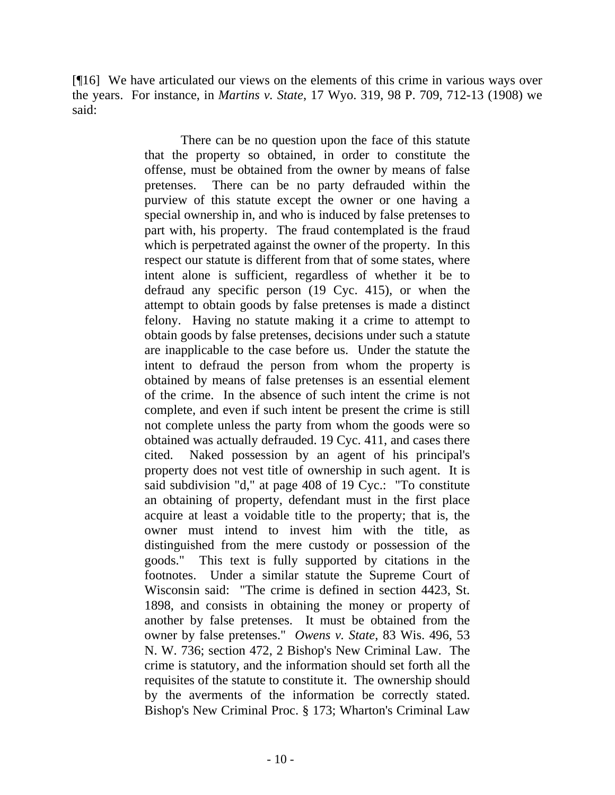[¶16] We have articulated our views on the elements of this crime in various ways over the years. For instance, in *Martins v. State*, 17 Wyo. 319, 98 P. 709, 712-13 (1908) we said:

> There can be no question upon the face of this statute that the property so obtained, in order to constitute the offense, must be obtained from the owner by means of false pretenses. There can be no party defrauded within the purview of this statute except the owner or one having a special ownership in, and who is induced by false pretenses to part with, his property. The fraud contemplated is the fraud which is perpetrated against the owner of the property. In this respect our statute is different from that of some states, where intent alone is sufficient, regardless of whether it be to defraud any specific person (19 Cyc. 415), or when the attempt to obtain goods by false pretenses is made a distinct felony. Having no statute making it a crime to attempt to obtain goods by false pretenses, decisions under such a statute are inapplicable to the case before us. Under the statute the intent to defraud the person from whom the property is obtained by means of false pretenses is an essential element of the crime. In the absence of such intent the crime is not complete, and even if such intent be present the crime is still not complete unless the party from whom the goods were so obtained was actually defrauded. 19 Cyc. 411, and cases there cited. Naked possession by an agent of his principal's property does not vest title of ownership in such agent. It is said subdivision "d," at page 408 of 19 Cyc.: "To constitute an obtaining of property, defendant must in the first place acquire at least a voidable title to the property; that is, the owner must intend to invest him with the title, as distinguished from the mere custody or possession of the goods." This text is fully supported by citations in the footnotes. Under a similar statute the Supreme Court of Wisconsin said: "The crime is defined in section 4423, St. 1898, and consists in obtaining the money or property of another by false pretenses. It must be obtained from the owner by false pretenses." *Owens v. State*, 83 Wis. 496, 53 N. W. 736; section 472, 2 Bishop's New Criminal Law. The crime is statutory, and the information should set forth all the requisites of the statute to constitute it. The ownership should by the averments of the information be correctly stated. Bishop's New Criminal Proc. § 173; Wharton's Criminal Law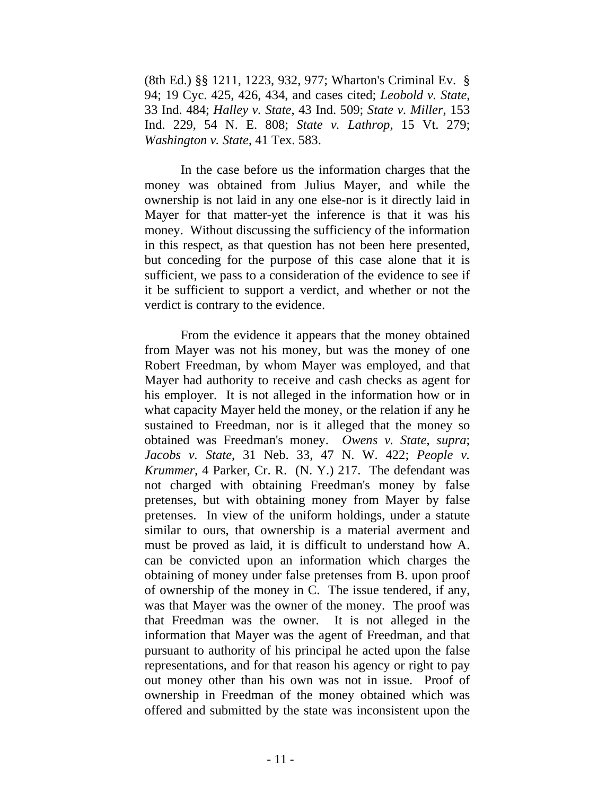(8th Ed.) §§ 1211, 1223, 932, 977; Wharton's Criminal Ev. § 94; 19 Cyc. 425, 426, 434, and cases cited; *Leobold v. State*, 33 Ind. 484; *Halley v. State*, 43 Ind. 509; *State v. Miller*, 153 Ind. 229, 54 N. E. 808; *State v. Lathrop*, 15 Vt. 279; *Washington v. State*, 41 Tex. 583.

In the case before us the information charges that the money was obtained from Julius Mayer, and while the ownership is not laid in any one else-nor is it directly laid in Mayer for that matter-yet the inference is that it was his money. Without discussing the sufficiency of the information in this respect, as that question has not been here presented, but conceding for the purpose of this case alone that it is sufficient, we pass to a consideration of the evidence to see if it be sufficient to support a verdict, and whether or not the verdict is contrary to the evidence.

From the evidence it appears that the money obtained from Mayer was not his money, but was the money of one Robert Freedman, by whom Mayer was employed, and that Mayer had authority to receive and cash checks as agent for his employer. It is not alleged in the information how or in what capacity Mayer held the money, or the relation if any he sustained to Freedman, nor is it alleged that the money so obtained was Freedman's money. *Owens v. State*, *supra*; *Jacobs v. State*, 31 Neb. 33, 47 N. W. 422; *People v. Krummer*, 4 Parker, Cr. R. (N. Y.) 217. The defendant was not charged with obtaining Freedman's money by false pretenses, but with obtaining money from Mayer by false pretenses. In view of the uniform holdings, under a statute similar to ours, that ownership is a material averment and must be proved as laid, it is difficult to understand how A. can be convicted upon an information which charges the obtaining of money under false pretenses from B. upon proof of ownership of the money in C. The issue tendered, if any, was that Mayer was the owner of the money. The proof was that Freedman was the owner. It is not alleged in the information that Mayer was the agent of Freedman, and that pursuant to authority of his principal he acted upon the false representations, and for that reason his agency or right to pay out money other than his own was not in issue. Proof of ownership in Freedman of the money obtained which was offered and submitted by the state was inconsistent upon the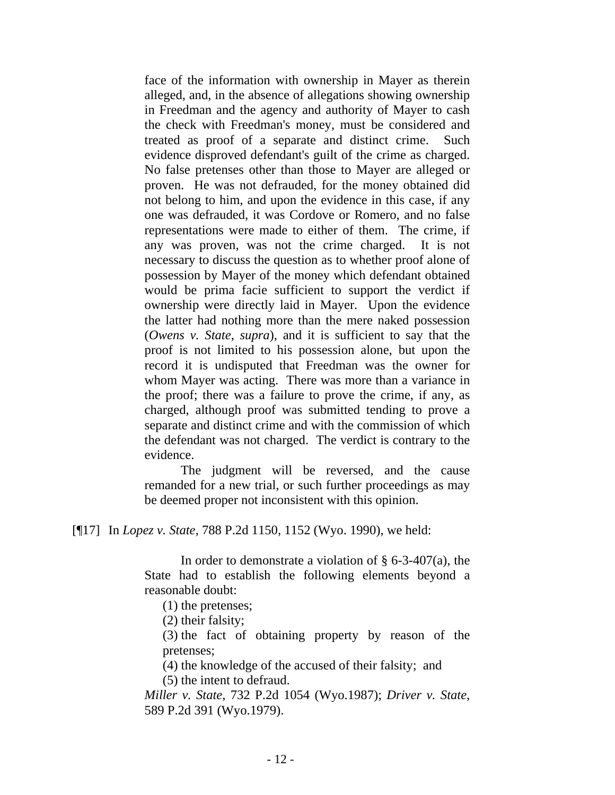face of the information with ownership in Mayer as therein alleged, and, in the absence of allegations showing ownership in Freedman and the agency and authority of Mayer to cash the check with Freedman's money, must be considered and treated as proof of a separate and distinct crime. Such evidence disproved defendant's guilt of the crime as charged. No false pretenses other than those to Mayer are alleged or proven. He was not defrauded, for the money obtained did not belong to him, and upon the evidence in this case, if any one was defrauded, it was Cordove or Romero, and no false representations were made to either of them. The crime, if any was proven, was not the crime charged. It is not necessary to discuss the question as to whether proof alone of possession by Mayer of the money which defendant obtained would be prima facie sufficient to support the verdict if ownership were directly laid in Mayer. Upon the evidence the latter had nothing more than the mere naked possession (*Owens v. State*, *supra*), and it is sufficient to say that the proof is not limited to his possession alone, but upon the record it is undisputed that Freedman was the owner for whom Mayer was acting. There was more than a variance in the proof; there was a failure to prove the crime, if any, as charged, although proof was submitted tending to prove a separate and distinct crime and with the commission of which the defendant was not charged. The verdict is contrary to the evidence.

The judgment will be reversed, and the cause remanded for a new trial, or such further proceedings as may be deemed proper not inconsistent with this opinion.

[¶17] In *Lopez v. State*, 788 P.2d 1150, 1152 (Wyo. 1990), we held:

In order to demonstrate a violation of  $\S$  6-3-407(a), the State had to establish the following elements beyond a reasonable doubt:

(1) the pretenses;

(2) their falsity;

(3) the fact of obtaining property by reason of the pretenses;

(4) the knowledge of the accused of their falsity; and

(5) the intent to defraud.

*Miller v. State*, 732 P.2d 1054 (Wyo.1987); *Driver v. State*, 589 P.2d 391 (Wyo.1979).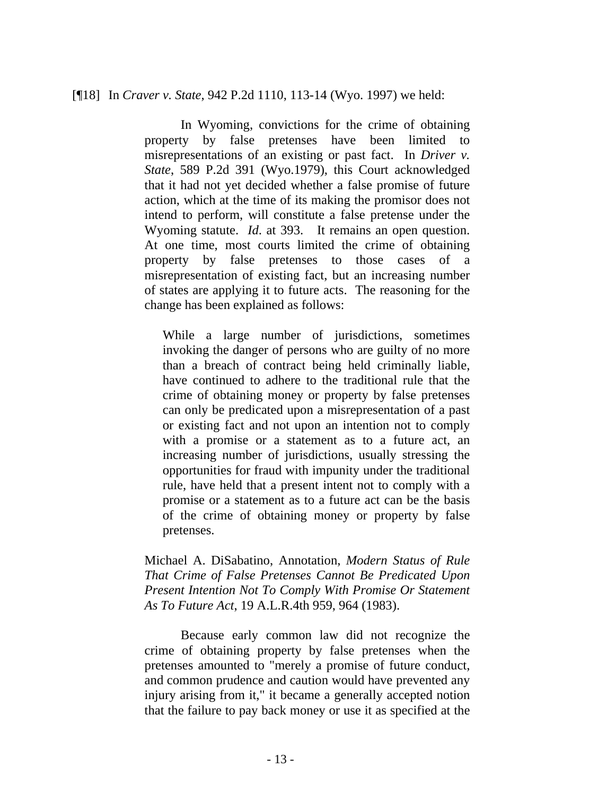#### [¶18] In *Craver v. State*, 942 P.2d 1110, 113-14 (Wyo. 1997) we held:

In Wyoming, convictions for the crime of obtaining property by false pretenses have been limited to misrepresentations of an existing or past fact. In *Driver v. State*, 589 P.2d 391 (Wyo.1979), this Court acknowledged that it had not yet decided whether a false promise of future action, which at the time of its making the promisor does not intend to perform, will constitute a false pretense under the Wyoming statute. *Id*. at 393. It remains an open question. At one time, most courts limited the crime of obtaining property by false pretenses to those cases of a misrepresentation of existing fact, but an increasing number of states are applying it to future acts. The reasoning for the change has been explained as follows:

While a large number of jurisdictions, sometimes invoking the danger of persons who are guilty of no more than a breach of contract being held criminally liable, have continued to adhere to the traditional rule that the crime of obtaining money or property by false pretenses can only be predicated upon a misrepresentation of a past or existing fact and not upon an intention not to comply with a promise or a statement as to a future act, an increasing number of jurisdictions, usually stressing the opportunities for fraud with impunity under the traditional rule, have held that a present intent not to comply with a promise or a statement as to a future act can be the basis of the crime of obtaining money or property by false pretenses.

Michael A. DiSabatino, Annotation, *Modern Status of Rule That Crime of False Pretenses Cannot Be Predicated Upon Present Intention Not To Comply With Promise Or Statement As To Future Act*, 19 A.L.R.4th 959, 964 (1983).

Because early common law did not recognize the crime of obtaining property by false pretenses when the pretenses amounted to "merely a promise of future conduct, and common prudence and caution would have prevented any injury arising from it," it became a generally accepted notion that the failure to pay back money or use it as specified at the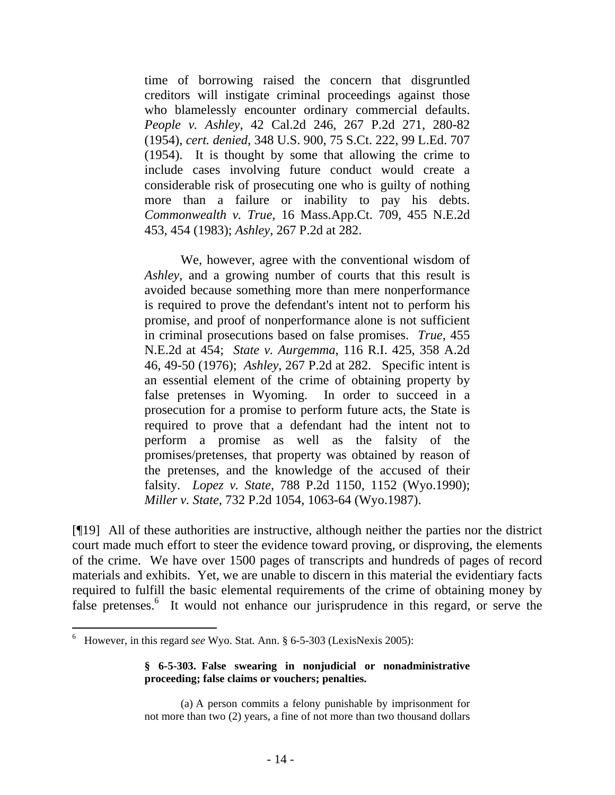time of borrowing raised the concern that disgruntled creditors will instigate criminal proceedings against those who blamelessly encounter ordinary commercial defaults. *People v. Ashley*, 42 Cal.2d 246, 267 P.2d 271, 280-82 (1954), *cert. denied*, 348 U.S. 900, 75 S.Ct. 222, 99 L.Ed. 707 (1954). It is thought by some that allowing the crime to include cases involving future conduct would create a considerable risk of prosecuting one who is guilty of nothing more than a failure or inability to pay his debts. *Commonwealth v. True*, 16 Mass.App.Ct. 709, 455 N.E.2d 453, 454 (1983); *Ashley*, 267 P.2d at 282.

We, however, agree with the conventional wisdom of *Ashley*, and a growing number of courts that this result is avoided because something more than mere nonperformance is required to prove the defendant's intent not to perform his promise, and proof of nonperformance alone is not sufficient in criminal prosecutions based on false promises. *True*, 455 N.E.2d at 454; *State v. Aurgemma*, 116 R.I. 425, 358 A.2d 46, 49-50 (1976); *Ashley*, 267 P.2d at 282. Specific intent is an essential element of the crime of obtaining property by false pretenses in Wyoming. In order to succeed in a prosecution for a promise to perform future acts, the State is required to prove that a defendant had the intent not to perform a promise as well as the falsity of the promises/pretenses, that property was obtained by reason of the pretenses, and the knowledge of the accused of their falsity. *Lopez v. State*, 788 P.2d 1150, 1152 (Wyo.1990); *Miller v. State*, 732 P.2d 1054, 1063-64 (Wyo.1987).

[¶19] All of these authorities are instructive, although neither the parties nor the district court made much effort to steer the evidence toward proving, or disproving, the elements of the crime. We have over 1500 pages of transcripts and hundreds of pages of record materials and exhibits. Yet, we are unable to discern in this material the evidentiary facts required to fulfill the basic elemental requirements of the crime of obtaining money by false pretenses.<sup>[6](#page-15-0)</sup> It would not enhance our jurisprudence in this regard, or serve the

<span id="page-15-0"></span><sup>6</sup> However, in this regard *see* Wyo. Stat. Ann. § 6-5-303 (LexisNexis 2005):

**<sup>§ 6-5-303.</sup> False swearing in nonjudicial or nonadministrative proceeding; false claims or vouchers; penalties.** 

<sup>(</sup>a) A person commits a felony punishable by imprisonment for not more than two (2) years, a fine of not more than two thousand dollars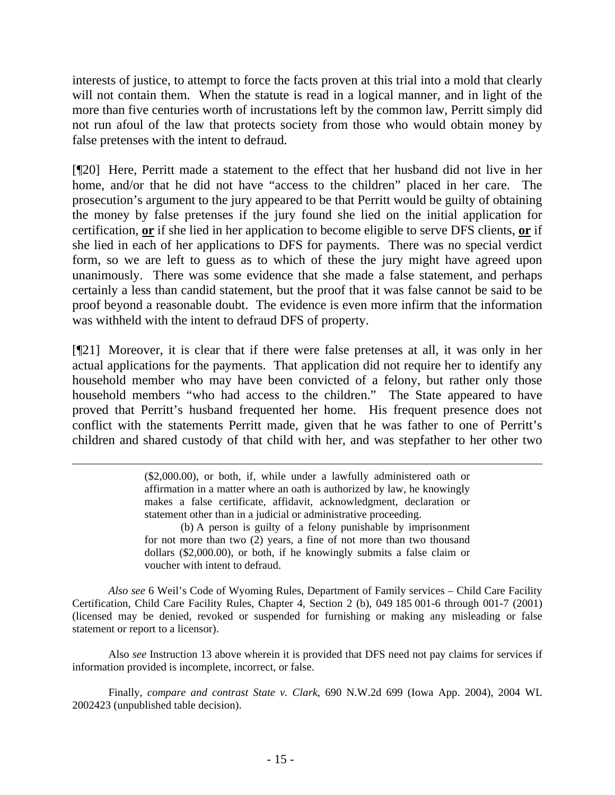interests of justice, to attempt to force the facts proven at this trial into a mold that clearly will not contain them. When the statute is read in a logical manner, and in light of the more than five centuries worth of incrustations left by the common law, Perritt simply did not run afoul of the law that protects society from those who would obtain money by false pretenses with the intent to defraud.

[¶20] Here, Perritt made a statement to the effect that her husband did not live in her home, and/or that he did not have "access to the children" placed in her care. The prosecution's argument to the jury appeared to be that Perritt would be guilty of obtaining the money by false pretenses if the jury found she lied on the initial application for certification, **or** if she lied in her application to become eligible to serve DFS clients, **or** if she lied in each of her applications to DFS for payments. There was no special verdict form, so we are left to guess as to which of these the jury might have agreed upon unanimously. There was some evidence that she made a false statement, and perhaps certainly a less than candid statement, but the proof that it was false cannot be said to be proof beyond a reasonable doubt. The evidence is even more infirm that the information was withheld with the intent to defraud DFS of property.

[¶21] Moreover, it is clear that if there were false pretenses at all, it was only in her actual applications for the payments. That application did not require her to identify any household member who may have been convicted of a felony, but rather only those household members "who had access to the children." The State appeared to have proved that Perritt's husband frequented her home. His frequent presence does not conflict with the statements Perritt made, given that he was father to one of Perritt's children and shared custody of that child with her, and was stepfather to her other two

> (\$2,000.00), or both, if, while under a lawfully administered oath or affirmation in a matter where an oath is authorized by law, he knowingly makes a false certificate, affidavit, acknowledgment, declaration or statement other than in a judicial or administrative proceeding.

(b) A person is guilty of a felony punishable by imprisonment for not more than two (2) years, a fine of not more than two thousand dollars (\$2,000.00), or both, if he knowingly submits a false claim or voucher with intent to defraud.

*Also see* 6 Weil's Code of Wyoming Rules, Department of Family services – Child Care Facility Certification, Child Care Facility Rules, Chapter 4, Section 2 (b), 049 185 001-6 through 001-7 (2001) (licensed may be denied, revoked or suspended for furnishing or making any misleading or false statement or report to a licensor).

Also *see* Instruction 13 above wherein it is provided that DFS need not pay claims for services if information provided is incomplete, incorrect, or false.

Finally, *compare and contrast State v. Clark*, 690 N.W.2d 699 (Iowa App. 2004), 2004 WL 2002423 (unpublished table decision).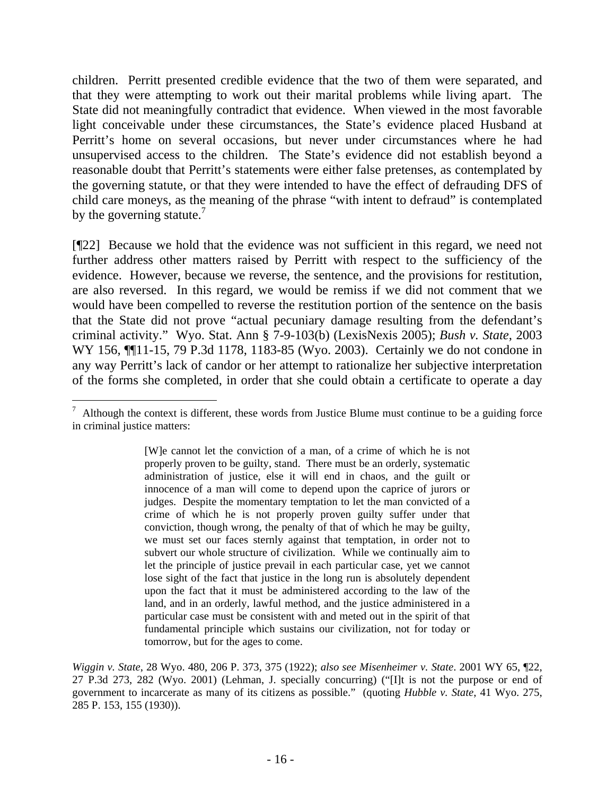children. Perritt presented credible evidence that the two of them were separated, and that they were attempting to work out their marital problems while living apart. The State did not meaningfully contradict that evidence. When viewed in the most favorable light conceivable under these circumstances, the State's evidence placed Husband at Perritt's home on several occasions, but never under circumstances where he had unsupervised access to the children. The State's evidence did not establish beyond a reasonable doubt that Perritt's statements were either false pretenses, as contemplated by the governing statute, or that they were intended to have the effect of defrauding DFS of child care moneys, as the meaning of the phrase "with intent to defraud" is contemplated by the governing statute.<sup>7</sup>

[¶22] Because we hold that the evidence was not sufficient in this regard, we need not further address other matters raised by Perritt with respect to the sufficiency of the evidence. However, because we reverse, the sentence, and the provisions for restitution, are also reversed. In this regard, we would be remiss if we did not comment that we would have been compelled to reverse the restitution portion of the sentence on the basis that the State did not prove "actual pecuniary damage resulting from the defendant's criminal activity." Wyo. Stat. Ann § 7-9-103(b) (LexisNexis 2005); *Bush v. State*, 2003 WY 156, ¶¶11-15, 79 P.3d 1178, 1183-85 (Wyo. 2003). Certainly we do not condone in any way Perritt's lack of candor or her attempt to rationalize her subjective interpretation of the forms she completed, in order that she could obtain a certificate to operate a day

<span id="page-17-0"></span> $<sup>7</sup>$  Although the context is different, these words from Justice Blume must continue to be a guiding force</sup> in criminal justice matters:

<sup>[</sup>W]e cannot let the conviction of a man, of a crime of which he is not properly proven to be guilty, stand. There must be an orderly, systematic administration of justice, else it will end in chaos, and the guilt or innocence of a man will come to depend upon the caprice of jurors or judges. Despite the momentary temptation to let the man convicted of a crime of which he is not properly proven guilty suffer under that conviction, though wrong, the penalty of that of which he may be guilty, we must set our faces sternly against that temptation, in order not to subvert our whole structure of civilization. While we continually aim to let the principle of justice prevail in each particular case, yet we cannot lose sight of the fact that justice in the long run is absolutely dependent upon the fact that it must be administered according to the law of the land, and in an orderly, lawful method, and the justice administered in a particular case must be consistent with and meted out in the spirit of that fundamental principle which sustains our civilization, not for today or tomorrow, but for the ages to come.

*Wiggin v. State*, 28 Wyo. 480, 206 P. 373, 375 (1922); *also see Misenheimer v. State*. 2001 WY 65, ¶22, 27 P.3d 273, 282 (Wyo. 2001) (Lehman, J. specially concurring) ("[I]t is not the purpose or end of government to incarcerate as many of its citizens as possible." (quoting *Hubble v. State*, 41 Wyo. 275, 285 P. 153, 155 (1930)).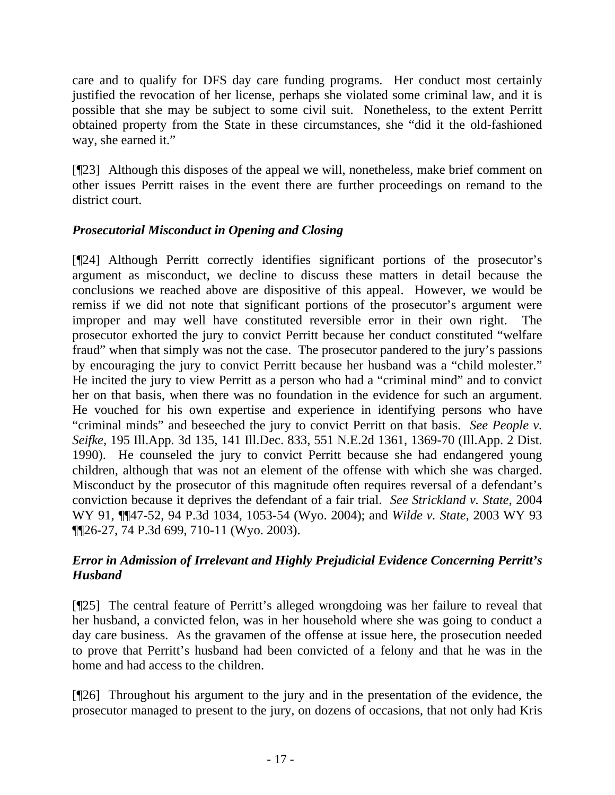care and to qualify for DFS day care funding programs. Her conduct most certainly justified the revocation of her license, perhaps she violated some criminal law, and it is possible that she may be subject to some civil suit. Nonetheless, to the extent Perritt obtained property from the State in these circumstances, she "did it the old-fashioned way, she earned it."

[¶23] Although this disposes of the appeal we will, nonetheless, make brief comment on other issues Perritt raises in the event there are further proceedings on remand to the district court.

# *Prosecutorial Misconduct in Opening and Closing*

[¶24] Although Perritt correctly identifies significant portions of the prosecutor's argument as misconduct, we decline to discuss these matters in detail because the conclusions we reached above are dispositive of this appeal. However, we would be remiss if we did not note that significant portions of the prosecutor's argument were improper and may well have constituted reversible error in their own right. The prosecutor exhorted the jury to convict Perritt because her conduct constituted "welfare fraud" when that simply was not the case. The prosecutor pandered to the jury's passions by encouraging the jury to convict Perritt because her husband was a "child molester." He incited the jury to view Perritt as a person who had a "criminal mind" and to convict her on that basis, when there was no foundation in the evidence for such an argument. He vouched for his own expertise and experience in identifying persons who have "criminal minds" and beseeched the jury to convict Perritt on that basis. *See People v. Seifke*, 195 Ill.App. 3d 135, 141 Ill.Dec. 833, 551 N.E.2d 1361, 1369-70 (Ill.App. 2 Dist. 1990). He counseled the jury to convict Perritt because she had endangered young children, although that was not an element of the offense with which she was charged. Misconduct by the prosecutor of this magnitude often requires reversal of a defendant's conviction because it deprives the defendant of a fair trial. *See Strickland v. State*, 2004 WY 91, ¶¶47-52, 94 P.3d 1034, 1053-54 (Wyo. 2004); and *Wilde v. State*, 2003 WY 93 ¶¶26-27, 74 P.3d 699, 710-11 (Wyo. 2003).

# *Error in Admission of Irrelevant and Highly Prejudicial Evidence Concerning Perritt's Husband*

[¶25] The central feature of Perritt's alleged wrongdoing was her failure to reveal that her husband, a convicted felon, was in her household where she was going to conduct a day care business. As the gravamen of the offense at issue here, the prosecution needed to prove that Perritt's husband had been convicted of a felony and that he was in the home and had access to the children.

[¶26] Throughout his argument to the jury and in the presentation of the evidence, the prosecutor managed to present to the jury, on dozens of occasions, that not only had Kris